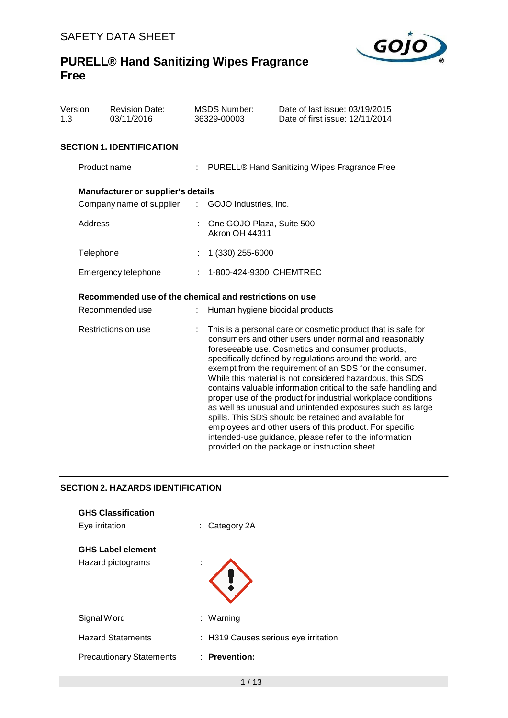

| Version<br>1.3      | <b>Revision Date:</b><br>03/11/2016                     |                               | <b>MSDS Number:</b><br>36329-00003                 | Date of last issue: 03/19/2015<br>Date of first issue: 12/11/2014                                                                                                                                                                                                                                                                                                                                                                                                                                                                                                                                                                                                                                                                                                                               |
|---------------------|---------------------------------------------------------|-------------------------------|----------------------------------------------------|-------------------------------------------------------------------------------------------------------------------------------------------------------------------------------------------------------------------------------------------------------------------------------------------------------------------------------------------------------------------------------------------------------------------------------------------------------------------------------------------------------------------------------------------------------------------------------------------------------------------------------------------------------------------------------------------------------------------------------------------------------------------------------------------------|
|                     | <b>SECTION 1. IDENTIFICATION</b>                        |                               |                                                    |                                                                                                                                                                                                                                                                                                                                                                                                                                                                                                                                                                                                                                                                                                                                                                                                 |
|                     | Product name                                            |                               |                                                    | PURELL® Hand Sanitizing Wipes Fragrance Free                                                                                                                                                                                                                                                                                                                                                                                                                                                                                                                                                                                                                                                                                                                                                    |
|                     | Manufacturer or supplier's details                      |                               |                                                    |                                                                                                                                                                                                                                                                                                                                                                                                                                                                                                                                                                                                                                                                                                                                                                                                 |
|                     | Company name of supplier                                | $\mathcal{L}^{\mathcal{L}}$ . | GOJO Industries, Inc.                              |                                                                                                                                                                                                                                                                                                                                                                                                                                                                                                                                                                                                                                                                                                                                                                                                 |
|                     | Address                                                 |                               | One GOJO Plaza, Suite 500<br><b>Akron OH 44311</b> |                                                                                                                                                                                                                                                                                                                                                                                                                                                                                                                                                                                                                                                                                                                                                                                                 |
|                     | Telephone                                               |                               | 1 (330) 255-6000                                   |                                                                                                                                                                                                                                                                                                                                                                                                                                                                                                                                                                                                                                                                                                                                                                                                 |
| Emergency telephone |                                                         |                               | 1-800-424-9300 CHEMTREC                            |                                                                                                                                                                                                                                                                                                                                                                                                                                                                                                                                                                                                                                                                                                                                                                                                 |
|                     | Recommended use of the chemical and restrictions on use |                               |                                                    |                                                                                                                                                                                                                                                                                                                                                                                                                                                                                                                                                                                                                                                                                                                                                                                                 |
|                     | Recommended use                                         |                               | Human hygiene biocidal products                    |                                                                                                                                                                                                                                                                                                                                                                                                                                                                                                                                                                                                                                                                                                                                                                                                 |
| Restrictions on use |                                                         |                               |                                                    | This is a personal care or cosmetic product that is safe for<br>consumers and other users under normal and reasonably<br>foreseeable use. Cosmetics and consumer products,<br>specifically defined by regulations around the world, are<br>exempt from the requirement of an SDS for the consumer.<br>While this material is not considered hazardous, this SDS<br>contains valuable information critical to the safe handling and<br>proper use of the product for industrial workplace conditions<br>as well as unusual and unintended exposures such as large<br>spills. This SDS should be retained and available for<br>employees and other users of this product. For specific<br>intended-use guidance, please refer to the information<br>provided on the package or instruction sheet. |

## **SECTION 2. HAZARDS IDENTIFICATION**

| <b>GHS Classification</b><br>Eye irritation   | $\therefore$ Category 2A              |
|-----------------------------------------------|---------------------------------------|
| <b>GHS Label element</b><br>Hazard pictograms | ٠                                     |
| Signal Word                                   | : Warning                             |
| <b>Hazard Statements</b>                      | : H319 Causes serious eye irritation. |
| <b>Precautionary Statements</b>               | $:$ Prevention:                       |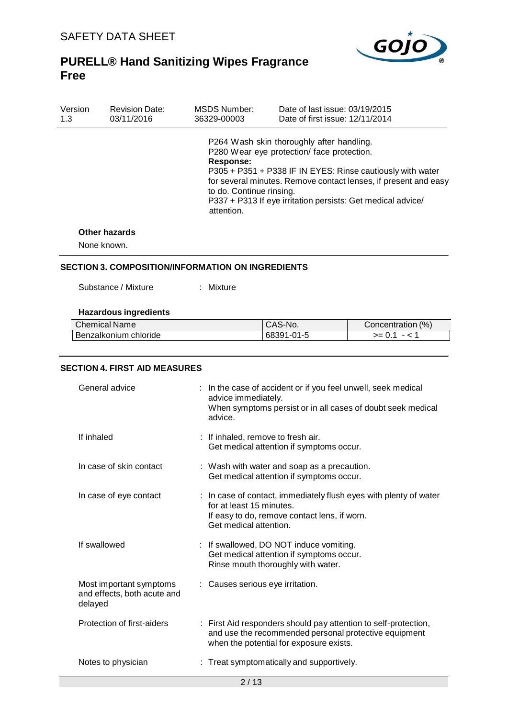

| Version | <b>Revision Date:</b> | <b>MSDS Number:</b>                                 | Date of last issue: 03/19/2015                                                                                                                                                                                                                                                         |
|---------|-----------------------|-----------------------------------------------------|----------------------------------------------------------------------------------------------------------------------------------------------------------------------------------------------------------------------------------------------------------------------------------------|
| 1.3     | 03/11/2016            | 36329-00003                                         | Date of first issue: 12/11/2014                                                                                                                                                                                                                                                        |
|         | .                     | Response:<br>to do. Continue rinsing.<br>attention. | P264 Wash skin thoroughly after handling.<br>P280 Wear eye protection/face protection.<br>P305 + P351 + P338 IF IN EYES: Rinse cautiously with water<br>for several minutes. Remove contact lenses, if present and easy<br>P337 + P313 If eye irritation persists: Get medical advice/ |

## **Other hazards**

None known.

## **SECTION 3. COMPOSITION/INFORMATION ON INGREDIENTS**

Substance / Mixture : Mixture

## **Hazardous ingredients**

| <b>Chemical Name</b>  | CAS-No.    | (% )<br>Concentration |
|-----------------------|------------|-----------------------|
| Benzalkonium chloride | 68391-01-5 | $>= 0.$               |

#### **SECTION 4. FIRST AID MEASURES**

| General advice                                                    |  | : In the case of accident or if you feel unwell, seek medical<br>advice immediately.<br>When symptoms persist or in all cases of doubt seek medical<br>advice.          |  |
|-------------------------------------------------------------------|--|-------------------------------------------------------------------------------------------------------------------------------------------------------------------------|--|
| If inhaled                                                        |  | : If inhaled, remove to fresh air.<br>Get medical attention if symptoms occur.                                                                                          |  |
| In case of skin contact                                           |  | : Wash with water and soap as a precaution.<br>Get medical attention if symptoms occur.                                                                                 |  |
| In case of eye contact                                            |  | : In case of contact, immediately flush eyes with plenty of water<br>for at least 15 minutes.<br>If easy to do, remove contact lens, if worn.<br>Get medical attention. |  |
| If swallowed                                                      |  | : If swallowed, DO NOT induce vomiting.<br>Get medical attention if symptoms occur.<br>Rinse mouth thoroughly with water.                                               |  |
| Most important symptoms<br>and effects, both acute and<br>delayed |  | : Causes serious eye irritation.                                                                                                                                        |  |
| Protection of first-aiders                                        |  | : First Aid responders should pay attention to self-protection,<br>and use the recommended personal protective equipment<br>when the potential for exposure exists.     |  |
| Notes to physician                                                |  | : Treat symptomatically and supportively.                                                                                                                               |  |
| 2/13                                                              |  |                                                                                                                                                                         |  |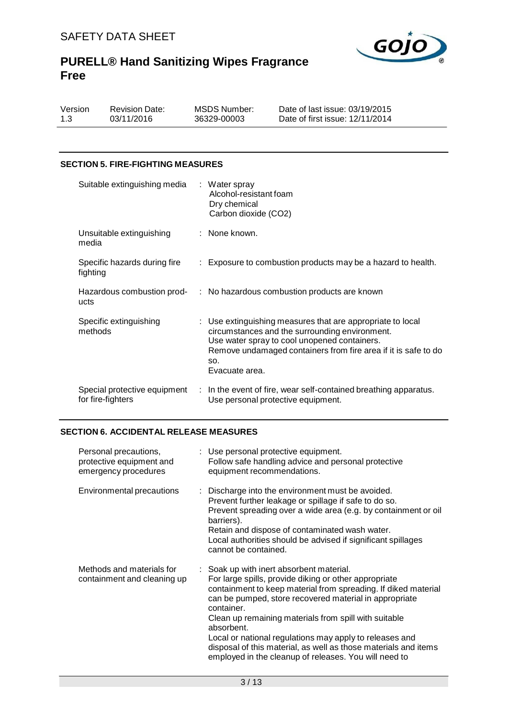

Version 1.3

Revision Date: 03/11/2016

MSDS Number: 36329-00003

Date of last issue: 03/19/2015 Date of first issue: 12/11/2014

## **SECTION 5. FIRE-FIGHTING MEASURES**

| Suitable extinguishing media : Water spray        | Alcohol-resistant foam<br>Dry chemical<br>Carbon dioxide (CO2)                                                                                                                                                                                          |
|---------------------------------------------------|---------------------------------------------------------------------------------------------------------------------------------------------------------------------------------------------------------------------------------------------------------|
| Unsuitable extinguishing<br>media                 | : None known.                                                                                                                                                                                                                                           |
| Specific hazards during fire<br>fighting          | : Exposure to combustion products may be a hazard to health.                                                                                                                                                                                            |
| ucts                                              | Hazardous combustion prod- : No hazardous combustion products are known                                                                                                                                                                                 |
| Specific extinguishing<br>methods                 | : Use extinguishing measures that are appropriate to local<br>circumstances and the surrounding environment.<br>Use water spray to cool unopened containers.<br>Remove undamaged containers from fire area if it is safe to do<br>SO.<br>Evacuate area. |
| Special protective equipment<br>for fire-fighters | : In the event of fire, wear self-contained breathing apparatus.<br>Use personal protective equipment.                                                                                                                                                  |

## **SECTION 6. ACCIDENTAL RELEASE MEASURES**

| Personal precautions,<br>protective equipment and<br>emergency procedures | : Use personal protective equipment.<br>Follow safe handling advice and personal protective<br>equipment recommendations.                                                                                                                                                                                                                                                                                                                                                                                 |
|---------------------------------------------------------------------------|-----------------------------------------------------------------------------------------------------------------------------------------------------------------------------------------------------------------------------------------------------------------------------------------------------------------------------------------------------------------------------------------------------------------------------------------------------------------------------------------------------------|
| Environmental precautions                                                 | : Discharge into the environment must be avoided.<br>Prevent further leakage or spillage if safe to do so.<br>Prevent spreading over a wide area (e.g. by containment or oil<br>barriers).<br>Retain and dispose of contaminated wash water.<br>Local authorities should be advised if significant spillages<br>cannot be contained.                                                                                                                                                                      |
| Methods and materials for<br>containment and cleaning up                  | : Soak up with inert absorbent material.<br>For large spills, provide diking or other appropriate<br>containment to keep material from spreading. If diked material<br>can be pumped, store recovered material in appropriate<br>container.<br>Clean up remaining materials from spill with suitable<br>absorbent.<br>Local or national regulations may apply to releases and<br>disposal of this material, as well as those materials and items<br>employed in the cleanup of releases. You will need to |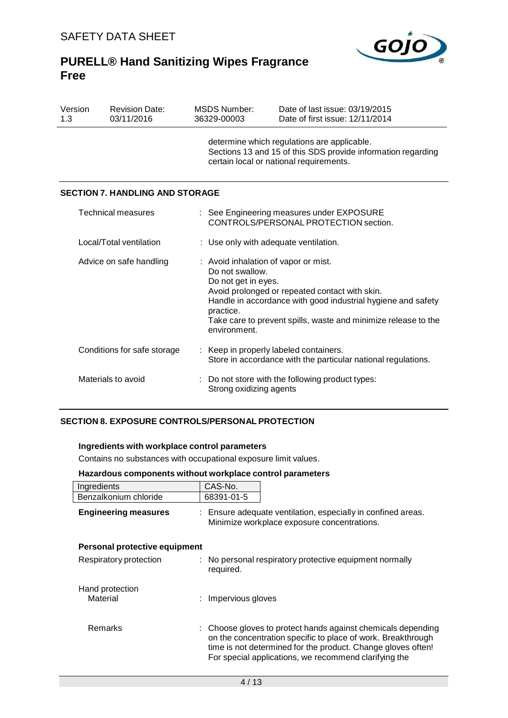

| Version<br>1.3          | <b>Revision Date:</b><br>03/11/2016                                                                                                  |  | <b>MSDS Number:</b><br>36329-00003                                                                                                                     | Date of last issue: 03/19/2015<br>Date of first issue: 12/11/2014                                                                                                                                                        |  |
|-------------------------|--------------------------------------------------------------------------------------------------------------------------------------|--|--------------------------------------------------------------------------------------------------------------------------------------------------------|--------------------------------------------------------------------------------------------------------------------------------------------------------------------------------------------------------------------------|--|
|                         |                                                                                                                                      |  | determine which regulations are applicable.<br>Sections 13 and 15 of this SDS provide information regarding<br>certain local or national requirements. |                                                                                                                                                                                                                          |  |
|                         | <b>SECTION 7. HANDLING AND STORAGE</b>                                                                                               |  |                                                                                                                                                        |                                                                                                                                                                                                                          |  |
|                         | Technical measures                                                                                                                   |  |                                                                                                                                                        | : See Engineering measures under EXPOSURE<br>CONTROLS/PERSONAL PROTECTION section.                                                                                                                                       |  |
| Local/Total ventilation |                                                                                                                                      |  | : Use only with adequate ventilation.                                                                                                                  |                                                                                                                                                                                                                          |  |
| Advice on safe handling |                                                                                                                                      |  | Do not swallow.<br>Do not get in eyes.<br>practice.<br>environment.                                                                                    | : Avoid inhalation of vapor or mist.<br>Avoid prolonged or repeated contact with skin.<br>Handle in accordance with good industrial hygiene and safety<br>Take care to prevent spills, waste and minimize release to the |  |
|                         | Conditions for safe storage<br>Keep in properly labeled containers.<br>Store in accordance with the particular national regulations. |  |                                                                                                                                                        |                                                                                                                                                                                                                          |  |
| Materials to avoid      |                                                                                                                                      |  | Strong oxidizing agents                                                                                                                                | Do not store with the following product types:                                                                                                                                                                           |  |

## **SECTION 8. EXPOSURE CONTROLS/PERSONAL PROTECTION**

## **Ingredients with workplace control parameters**

Contains no substances with occupational exposure limit values.

| Hazardous components without workplace control parameters |  |
|-----------------------------------------------------------|--|
|-----------------------------------------------------------|--|

| Ingredients                   | CAS-No.                                                                                                                                                                               |                                                              |  |
|-------------------------------|---------------------------------------------------------------------------------------------------------------------------------------------------------------------------------------|--------------------------------------------------------------|--|
| Benzalkonium chloride         | 68391-01-5                                                                                                                                                                            |                                                              |  |
| <b>Engineering measures</b>   | : Ensure adequate ventilation, especially in confined areas.<br>Minimize workplace exposure concentrations.                                                                           |                                                              |  |
| Personal protective equipment |                                                                                                                                                                                       |                                                              |  |
| Respiratory protection        | : No personal respiratory protective equipment normally<br>required.                                                                                                                  |                                                              |  |
| Hand protection<br>Material   | : Impervious gloves                                                                                                                                                                   |                                                              |  |
| Remarks                       | on the concentration specific to place of work. Breakthrough<br>time is not determined for the product. Change gloves often!<br>For special applications, we recommend clarifying the | : Choose gloves to protect hands against chemicals depending |  |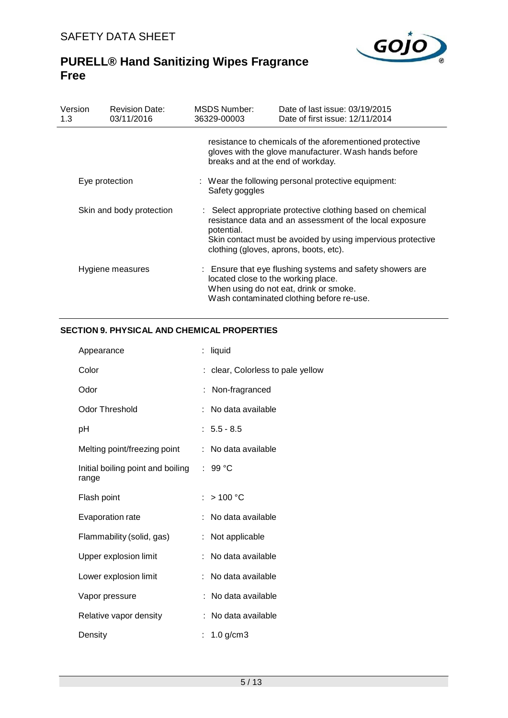

| Version<br>1.3           | <b>Revision Date:</b><br>03/11/2016 | <b>MSDS Number:</b><br>36329-00003                                    | Date of last issue: 03/19/2015<br>Date of first issue: 12/11/2014                                                                                                                                                              |  |  |
|--------------------------|-------------------------------------|-----------------------------------------------------------------------|--------------------------------------------------------------------------------------------------------------------------------------------------------------------------------------------------------------------------------|--|--|
|                          |                                     | breaks and at the end of workday.                                     | resistance to chemicals of the aforementioned protective<br>gloves with the glove manufacturer. Wash hands before                                                                                                              |  |  |
| Eye protection           |                                     | : Wear the following personal protective equipment:<br>Safety goggles |                                                                                                                                                                                                                                |  |  |
| Skin and body protection |                                     | potential.                                                            | : Select appropriate protective clothing based on chemical<br>resistance data and an assessment of the local exposure<br>Skin contact must be avoided by using impervious protective<br>clothing (gloves, aprons, boots, etc). |  |  |
| Hygiene measures         |                                     | located close to the working place.                                   | : Ensure that eye flushing systems and safety showers are<br>When using do not eat, drink or smoke.<br>Wash contaminated clothing before re-use.                                                                               |  |  |

## **SECTION 9. PHYSICAL AND CHEMICAL PROPERTIES**

| Appearance                                 | : liquid                          |
|--------------------------------------------|-----------------------------------|
| Color                                      | : clear, Colorless to pale yellow |
| Odor                                       | Non-fragranced                    |
| <b>Odor Threshold</b>                      | No data available                 |
| рH                                         | $: 5.5 - 8.5$                     |
| Melting point/freezing point               | No data available                 |
| Initial boiling point and boiling<br>range | : 99 °C                           |
| Flash point                                | $:$ > 100 °C                      |
| <b>Evaporation rate</b>                    | No data available                 |
| Flammability (solid, gas)                  | Not applicable                    |
| Upper explosion limit                      | No data available                 |
| Lower explosion limit                      | No data available                 |
| Vapor pressure                             | No data available                 |
| Relative vapor density                     | No data available                 |
| Density                                    | : $1.0$ g/cm3                     |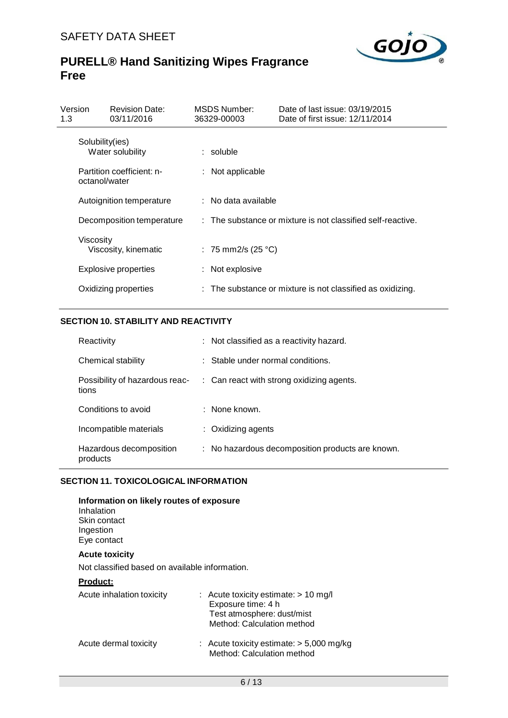

| Version<br>1.3 | <b>Revision Date:</b><br>03/11/2016        | MSDS Number:<br>36329-00003 | Date of last issue: 03/19/2015<br>Date of first issue: 12/11/2014     |
|----------------|--------------------------------------------|-----------------------------|-----------------------------------------------------------------------|
|                | Solubility(ies)<br>Water solubility        | $:$ soluble                 |                                                                       |
|                | Partition coefficient: n-<br>octanol/water | : Not applicable            |                                                                       |
|                | Autoignition temperature                   | $:$ No data available       |                                                                       |
|                | Decomposition temperature                  |                             | : The substance or mixture is not classified self-reactive.           |
|                | Viscosity<br>Viscosity, kinematic          | : 75 mm2/s (25 °C)          |                                                                       |
|                | Explosive properties                       | : Not explosive             |                                                                       |
|                | Oxidizing properties                       |                             | $\therefore$ The substance or mixture is not classified as oxidizing. |

## **SECTION 10. STABILITY AND REACTIVITY**

| Reactivity                              | : Not classified as a reactivity hazard.             |
|-----------------------------------------|------------------------------------------------------|
| Chemical stability                      | $\therefore$ Stable under normal conditions.         |
| Possibility of hazardous reac-<br>tions | $\therefore$ Can react with strong oxidizing agents. |
| Conditions to avoid                     | $\therefore$ None known.                             |
| Incompatible materials                  | $\therefore$ Oxidizing agents                        |
| Hazardous decomposition<br>products     | : No hazardous decomposition products are known.     |

## **SECTION 11. TOXICOLOGICAL INFORMATION**

**Information on likely routes of exposure**

| Inhalation<br>Skin contact<br>Ingestion<br>Eye contact |                                                                                                                            |
|--------------------------------------------------------|----------------------------------------------------------------------------------------------------------------------------|
| <b>Acute toxicity</b>                                  |                                                                                                                            |
| Not classified based on available information.         |                                                                                                                            |
| <u>Product:</u>                                        |                                                                                                                            |
| Acute inhalation toxicity                              | $:$ Acute toxicity estimate: $> 10$ mg/l<br>Exposure time: 4 h<br>Test atmosphere: dust/mist<br>Method: Calculation method |
| Acute dermal toxicity                                  | : Acute toxicity estimate: $> 5,000$ mg/kg<br>Method: Calculation method                                                   |
|                                                        |                                                                                                                            |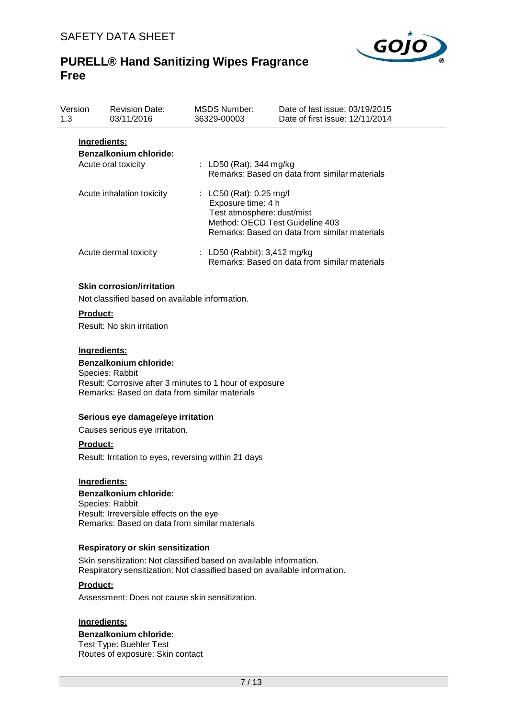

| Version<br>1.3 | <b>Revision Date:</b><br>03/11/2016                                  | <b>MSDS Number:</b><br>36329-00003              | Date of last issue: 03/19/2015<br>Date of first issue: 12/11/2014                                              |
|----------------|----------------------------------------------------------------------|-------------------------------------------------|----------------------------------------------------------------------------------------------------------------|
|                | <u>Ingredients:</u><br>Benzalkonium chloride:<br>Acute oral toxicity | : LD50 (Rat): 344 mg/kg                         | Remarks: Based on data from similar materials                                                                  |
|                | Acute inhalation toxicity                                            | : $LC50$ (Rat): 0.25 mg/l<br>Exposure time: 4 h | Test atmosphere: dust/mist<br>Method: OECD Test Guideline 403<br>Remarks: Based on data from similar materials |
|                | Acute dermal toxicity                                                | : LD50 (Rabbit): $3,412$ mg/kg                  | Remarks: Based on data from similar materials                                                                  |

### **Skin corrosion/irritation**

Not classified based on available information.

### **Product:**

Result: No skin irritation

#### **Ingredients:**

## **Benzalkonium chloride:**

Species: Rabbit Result: Corrosive after 3 minutes to 1 hour of exposure Remarks: Based on data from similar materials

#### **Serious eye damage/eye irritation**

Causes serious eye irritation.

### **Product:**

Result: Irritation to eyes, reversing within 21 days

### **Ingredients:**

### **Benzalkonium chloride:** Species: Rabbit Result: Irreversible effects on the eye

Remarks: Based on data from similar materials

### **Respiratory or skin sensitization**

Skin sensitization: Not classified based on available information. Respiratory sensitization: Not classified based on available information.

## **Product:**

Assessment: Does not cause skin sensitization.

### **Ingredients:**

## **Benzalkonium chloride:**

Test Type: Buehler Test Routes of exposure: Skin contact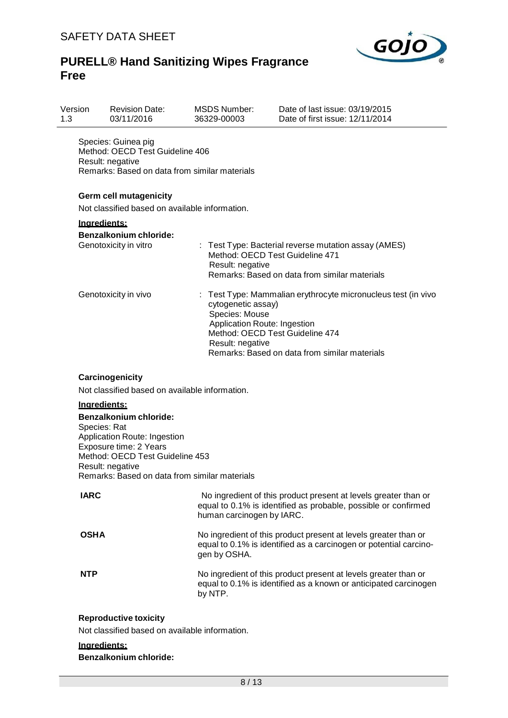

| Version<br>1.3 | <b>Revision Date:</b><br>03/11/2016                                                                                         | <b>MSDS Number:</b><br>36329-00003                                                       | Date of last issue: 03/19/2015<br>Date of first issue: 12/11/2014                                                                               |
|----------------|-----------------------------------------------------------------------------------------------------------------------------|------------------------------------------------------------------------------------------|-------------------------------------------------------------------------------------------------------------------------------------------------|
|                | Species: Guinea pig<br>Method: OECD Test Guideline 406<br>Result: negative<br>Remarks: Based on data from similar materials |                                                                                          |                                                                                                                                                 |
|                | Germ cell mutagenicity                                                                                                      |                                                                                          |                                                                                                                                                 |
|                | Not classified based on available information.                                                                              |                                                                                          |                                                                                                                                                 |
|                | Ingredients:                                                                                                                |                                                                                          |                                                                                                                                                 |
|                | <b>Benzalkonium chloride:</b><br>Genotoxicity in vitro                                                                      | Result: negative                                                                         | : Test Type: Bacterial reverse mutation assay (AMES)<br>Method: OECD Test Guideline 471<br>Remarks: Based on data from similar materials        |
|                | Genotoxicity in vivo                                                                                                        | cytogenetic assay)<br>Species: Mouse<br>Application Route: Ingestion<br>Result: negative | Test Type: Mammalian erythrocyte micronucleus test (in vivo<br>Method: OECD Test Guideline 474<br>Remarks: Based on data from similar materials |
|                | Carcinogenicity<br>Not classified based on available information.<br>Ingredients:<br><b>Benzalkonium chloride:</b>          |                                                                                          |                                                                                                                                                 |
|                | Species: Rat<br>Application Route: Ingestion<br>Exposure time: 2 Years<br>Method: OECD Test Guideline 453                   |                                                                                          |                                                                                                                                                 |
|                | Result: negative<br>Remarks: Based on data from similar materials                                                           |                                                                                          |                                                                                                                                                 |
| <b>IARC</b>    |                                                                                                                             | human carcinogen by IARC.                                                                | No ingredient of this product present at levels greater than or<br>equal to 0.1% is identified as probable, possible or confirmed               |
| <b>OSHA</b>    |                                                                                                                             | gen by OSHA.                                                                             | No ingredient of this product present at levels greater than or<br>equal to 0.1% is identified as a carcinogen or potential carcino-            |
| <b>NTP</b>     |                                                                                                                             | by NTP.                                                                                  | No ingredient of this product present at levels greater than or<br>equal to 0.1% is identified as a known or anticipated carcinogen             |
|                | <b>Reproductive toxicity</b>                                                                                                |                                                                                          |                                                                                                                                                 |
|                | Not classified based on available information.                                                                              |                                                                                          |                                                                                                                                                 |
|                | Ingredients:<br><b>Benzalkonium chloride:</b>                                                                               |                                                                                          |                                                                                                                                                 |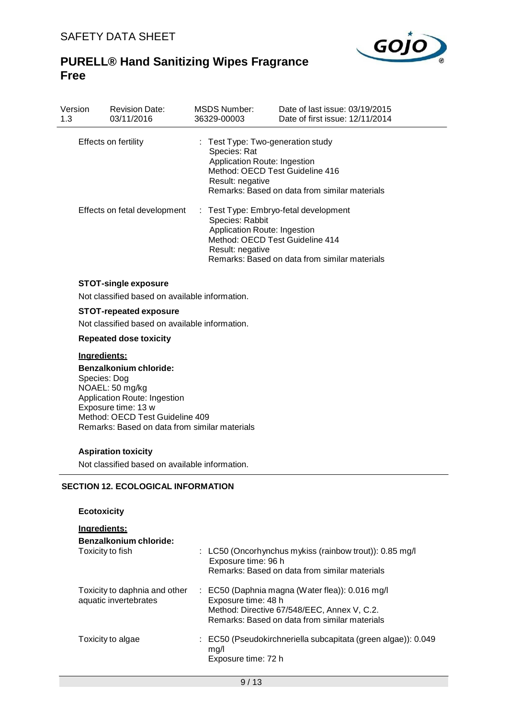

| Version<br>1.3 | <b>Revision Date:</b><br>03/11/2016                                           | <b>MSDS Number:</b><br>36329-00003                                                                    | Date of last issue: 03/19/2015<br>Date of first issue: 12/11/2014                                                         |
|----------------|-------------------------------------------------------------------------------|-------------------------------------------------------------------------------------------------------|---------------------------------------------------------------------------------------------------------------------------|
|                | Effects on fertility                                                          | : Test Type: Two-generation study<br>Species: Rat<br>Application Route: Ingestion<br>Result: negative | Method: OECD Test Guideline 416<br>Remarks: Based on data from similar materials                                          |
|                | Effects on fetal development                                                  | Species: Rabbit<br>Application Route: Ingestion<br>Result: negative                                   | : Test Type: Embryo-fetal development<br>Method: OECD Test Guideline 414<br>Remarks: Based on data from similar materials |
|                | <b>STOT-single exposure</b><br>Not classified based on available information. |                                                                                                       |                                                                                                                           |

# **STOT-repeated exposure**

Not classified based on available information.

### **Repeated dose toxicity**

## **Ingredients:**

**Benzalkonium chloride:** Species: Dog NOAEL: 50 mg/kg Application Route: Ingestion Exposure time: 13 w Method: OECD Test Guideline 409 Remarks: Based on data from similar materials

## **Aspiration toxicity**

Not classified based on available information.

### **SECTION 12. ECOLOGICAL INFORMATION**

## **Ecotoxicity**

### **Ingredients:**

| Benzalkonium chloride:<br>Toxicity to fish             | : LC50 (Oncorhynchus mykiss (rainbow trout)): 0.85 mg/l<br>Exposure time: 96 h<br>Remarks: Based on data from similar materials                                                   |
|--------------------------------------------------------|-----------------------------------------------------------------------------------------------------------------------------------------------------------------------------------|
| Toxicity to daphnia and other<br>aquatic invertebrates | $\therefore$ EC50 (Daphnia magna (Water flea)): 0.016 mg/l<br>Exposure time: 48 h<br>Method: Directive 67/548/EEC, Annex V, C.2.<br>Remarks: Based on data from similar materials |
| Toxicity to algae                                      | : EC50 (Pseudokirchneriella subcapitata (green algae)): 0.049<br>mq/l<br>Exposure time: 72 h                                                                                      |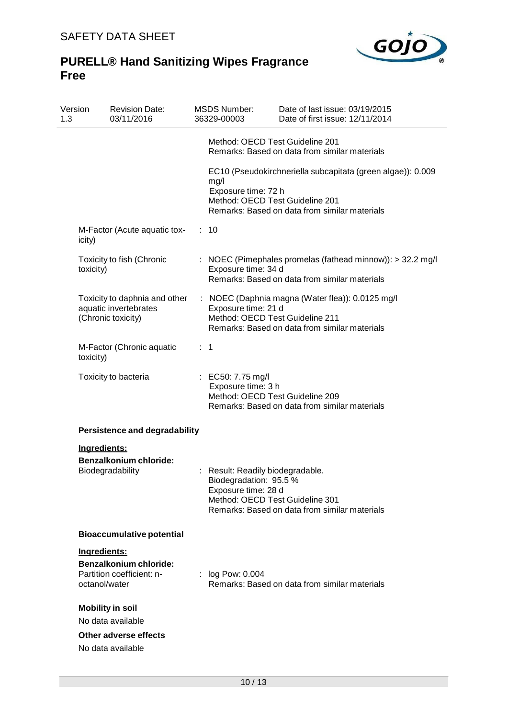

| Version<br>1.3 | <b>Revision Date:</b><br>03/11/2016                                                         | <b>MSDS Number:</b><br>36329-00003            | Date of last issue: 03/19/2015<br>Date of first issue: 12/11/2014                                                                               |
|----------------|---------------------------------------------------------------------------------------------|-----------------------------------------------|-------------------------------------------------------------------------------------------------------------------------------------------------|
|                |                                                                                             |                                               | Method: OECD Test Guideline 201<br>Remarks: Based on data from similar materials                                                                |
|                |                                                                                             | mg/l<br>Exposure time: 72 h                   | EC10 (Pseudokirchneriella subcapitata (green algae)): 0.009<br>Method: OECD Test Guideline 201<br>Remarks: Based on data from similar materials |
| icity)         | M-Factor (Acute aquatic tox-                                                                | : 10                                          |                                                                                                                                                 |
|                | Toxicity to fish (Chronic<br>toxicity)                                                      | Exposure time: 34 d                           | : NOEC (Pimephales promelas (fathead minnow)): > 32.2 mg/l<br>Remarks: Based on data from similar materials                                     |
|                | Toxicity to daphnia and other<br>aquatic invertebrates<br>(Chronic toxicity)                | Exposure time: 21 d                           | : NOEC (Daphnia magna (Water flea)): 0.0125 mg/l<br>Method: OECD Test Guideline 211<br>Remarks: Based on data from similar materials            |
|                | M-Factor (Chronic aquatic<br>toxicity)                                                      | $\therefore$ 1                                |                                                                                                                                                 |
|                | Toxicity to bacteria                                                                        | : EC50: 7.75 mg/l<br>Exposure time: 3 h       | Method: OECD Test Guideline 209<br>Remarks: Based on data from similar materials                                                                |
|                | <b>Persistence and degradability</b>                                                        |                                               |                                                                                                                                                 |
|                | Ingredients:<br><b>Benzalkonium chloride:</b><br>Biodegradability                           | Biodegradation: 95.5 %<br>Exposure time: 28 d | : Result: Readily biodegradable.<br>Method: OECD Test Guideline 301<br>Remarks: Based on data from similar materials                            |
|                | <b>Bioaccumulative potential</b>                                                            |                                               |                                                                                                                                                 |
|                | Ingredients:<br><b>Benzalkonium chloride:</b><br>Partition coefficient: n-<br>octanol/water | : log Pow: 0.004                              | Remarks: Based on data from similar materials                                                                                                   |
|                | <b>Mobility in soil</b><br>No data available<br>Other adverse effects<br>No data available  |                                               |                                                                                                                                                 |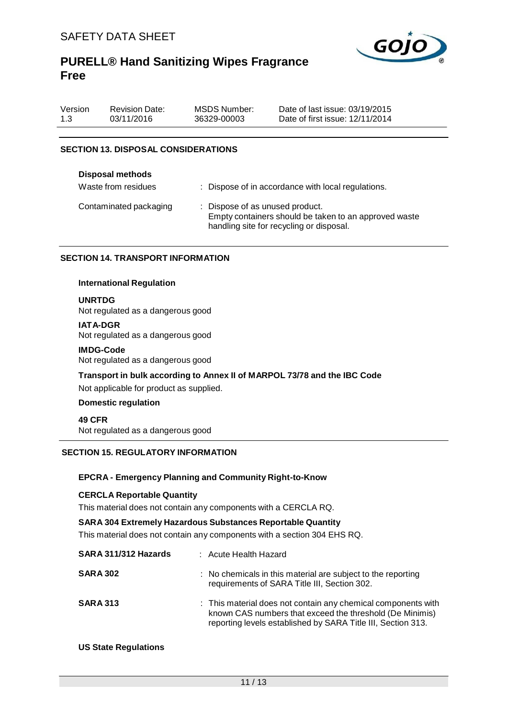

| Version | <b>Revision Date:</b> | MSDS Number: | Date of last issue: 03/19/2015  |
|---------|-----------------------|--------------|---------------------------------|
| 1.3     | 03/11/2016            | 36329-00003  | Date of first issue: 12/11/2014 |

## **SECTION 13. DISPOSAL CONSIDERATIONS**

| <b>Disposal methods</b><br>Waste from residues | : Dispose of in accordance with local regulations.                                                                                   |
|------------------------------------------------|--------------------------------------------------------------------------------------------------------------------------------------|
| Contaminated packaging                         | : Dispose of as unused product.<br>Empty containers should be taken to an approved waste<br>handling site for recycling or disposal. |

### **SECTION 14. TRANSPORT INFORMATION**

#### **International Regulation**

**UNRTDG**

Not regulated as a dangerous good

**IATA-DGR** Not regulated as a dangerous good

#### **IMDG-Code**

Not regulated as a dangerous good

**Transport in bulk according to Annex II of MARPOL 73/78 and the IBC Code**

Not applicable for product as supplied.

## **Domestic regulation**

**49 CFR** Not regulated as a dangerous good

### **SECTION 15. REGULATORY INFORMATION**

## **EPCRA - Emergency Planning and Community Right-to-Know**

#### **CERCLA Reportable Quantity**

This material does not contain any components with a CERCLA RQ.

#### **SARA 304 Extremely Hazardous Substances Reportable Quantity**

This material does not contain any components with a section 304 EHS RQ.

| SARA 311/312 Hazards | : Acute Health Hazard                                                                                                                                                                     |
|----------------------|-------------------------------------------------------------------------------------------------------------------------------------------------------------------------------------------|
| <b>SARA 302</b>      | : No chemicals in this material are subject to the reporting<br>requirements of SARA Title III, Section 302.                                                                              |
| <b>SARA 313</b>      | : This material does not contain any chemical components with<br>known CAS numbers that exceed the threshold (De Minimis)<br>reporting levels established by SARA Title III, Section 313. |

## **US State Regulations**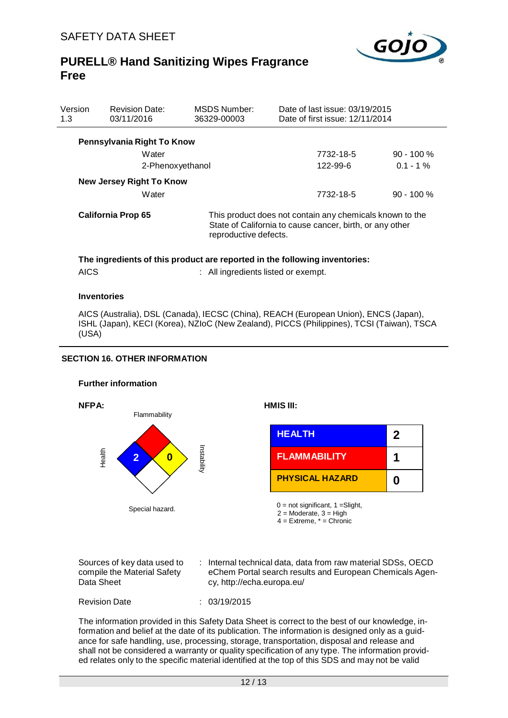

| Version<br>1.3           | <b>Revision Date:</b><br>03/11/2016 | <b>MSDS Number:</b><br>36329-00003 | Date of last issue: 03/19/2015<br>Date of first issue: 12/11/2014                                                    |              |  |  |  |  |
|--------------------------|-------------------------------------|------------------------------------|----------------------------------------------------------------------------------------------------------------------|--------------|--|--|--|--|
|                          | Pennsylvania Right To Know          |                                    |                                                                                                                      |              |  |  |  |  |
|                          | Water                               |                                    | 7732-18-5                                                                                                            | $90 - 100 %$ |  |  |  |  |
|                          | 2-Phenoxyethanol                    |                                    | 122-99-6                                                                                                             | $0.1 - 1\%$  |  |  |  |  |
| New Jersey Right To Know |                                     |                                    |                                                                                                                      |              |  |  |  |  |
|                          | Water                               |                                    | 7732-18-5                                                                                                            | $90 - 100 %$ |  |  |  |  |
| California Prop 65       |                                     | reproductive defects.              | This product does not contain any chemicals known to the<br>State of California to cause cancer, birth, or any other |              |  |  |  |  |

## **The ingredients of this product are reported in the following inventories:** its listed or exempt.

| <b>AICS</b><br>All ingredien |
|------------------------------|
|                              |

### **Inventories**

AICS (Australia), DSL (Canada), IECSC (China), REACH (European Union), ENCS (Japan), ISHL (Japan), KECI (Korea), NZIoC (New Zealand), PICCS (Philippines), TCSI (Taiwan), TSCA (USA)

## **SECTION 16. OTHER INFORMATION**

### **Further information**



| Sources of key data used to<br>compile the Material Safety<br>Data Sheet<br>cy, http://echa.europa.eu/ | : Internal technical data, data from raw material SDSs, OECD<br>eChem Portal search results and European Chemicals Agen- |
|--------------------------------------------------------------------------------------------------------|--------------------------------------------------------------------------------------------------------------------------|
|--------------------------------------------------------------------------------------------------------|--------------------------------------------------------------------------------------------------------------------------|

Revision Date : 03/19/2015

The information provided in this Safety Data Sheet is correct to the best of our knowledge, information and belief at the date of its publication. The information is designed only as a guidance for safe handling, use, processing, storage, transportation, disposal and release and shall not be considered a warranty or quality specification of any type. The information provided relates only to the specific material identified at the top of this SDS and may not be valid